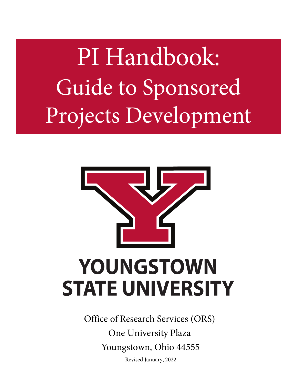PI Handbook: Guide to Sponsored Projects Development



Office of Research Services (ORS) One University Plaza Youngstown, Ohio 44555 Revised January, 2022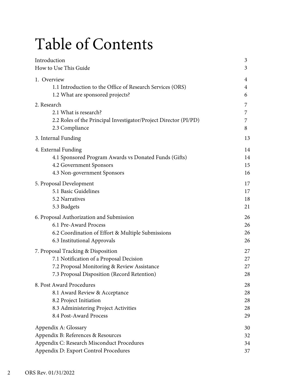# Table of Contents

| Introduction                                                     | 3  |
|------------------------------------------------------------------|----|
| How to Use This Guide                                            | 3  |
| 1. Overview                                                      | 4  |
| 1.1 Introduction to the Office of Research Services (ORS)        | 4  |
| 1.2 What are sponsored projects?                                 | 6  |
| 2. Research                                                      | 7  |
| 2.1 What is research?                                            | 7  |
| 2.2 Roles of the Principal Investigator/Project Director (PI/PD) | 7  |
| 2.3 Compliance                                                   | 8  |
| 3. Internal Funding                                              | 13 |
| 4. External Funding                                              | 14 |
| 4.1 Sponsored Program Awards vs Donated Funds (Gifts)            | 14 |
| 4.2 Government Sponsors                                          | 15 |
| 4.3 Non-government Sponsors                                      | 16 |
| 5. Proposal Development                                          | 17 |
| 5.1 Basic Guidelines                                             | 17 |
| 5.2 Narratives                                                   | 18 |
| 5.3 Budgets                                                      | 21 |
| 6. Proposal Authorization and Submission                         | 26 |
| 6.1 Pre-Award Process                                            | 26 |
| 6.2 Coordination of Effort & Multiple Submissions                | 26 |
| 6.3 Institutional Approvals                                      | 26 |
| 7. Proposal Tracking & Disposition                               | 27 |
| 7.1 Notification of a Proposal Decision                          | 27 |
| 7.2 Proposal Monitoring & Review Assistance                      | 27 |
| 7.3 Proposal Disposition (Record Retention)                      | 28 |
| 8. Post Award Procedures                                         | 28 |
| 8.1 Award Review & Acceptance                                    | 28 |
| 8.2 Project Initiation                                           | 28 |
| 8.3 Administering Project Activities                             | 28 |
| 8.4 Post-Award Process                                           | 29 |
| Appendix A: Glossary                                             | 30 |
| Appendix B: References & Resources                               | 32 |
| Appendix C: Research Misconduct Procedures                       | 34 |
| Appendix D: Export Control Procedures                            | 37 |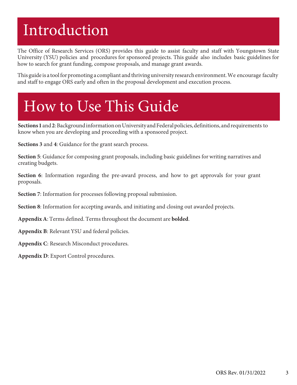# Introduction

The Office of Research Services (ORS) provides this guide to assist faculty and staff with Youngstown State University (YSU) policies and procedures for sponsored projects. This guide also includes basic guidelines for how to search for grant funding, compose proposals, and manage grant awards.

This guide is a tool for promoting a compliant and thriving university research environment. We encourage faculty and staff to engage ORS early and often in the proposal development and execution process.

# How to Use This Guide

Sections 1 and 2: Background information on University and Federal policies, definitions, and requirements to know when you are developing and proceeding with a sponsored project.

**Sections 3** and **4**: Guidance for the grant search process.

**Section 5**: Guidance for composing grant proposals, including basic guidelines for writing narratives and creating budgets.

**Section 6**: Information regarding the pre-award process, and how to get approvals for your grant proposals.

**Section 7**: Information for processes following proposal submission.

**Section 8**: Information for accepting awards, and initiating and closing out awarded projects.

**Appendix A**: Terms defined. Terms throughout the document are **bolded**.

**Appendix B**: Relevant YSU and federal policies.

**Appendix C**: Research Misconduct procedures.

**Appendix D**: Export Control procedures.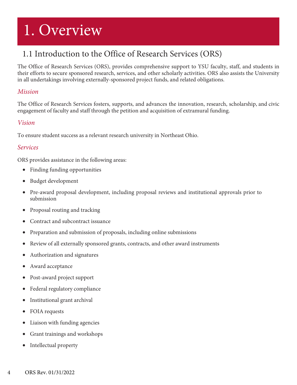# 1. Overview

# 1.1 Introduction to the Office of Research Services (ORS)

The Office of Research Services (ORS), provides comprehensive support to YSU faculty, staff, and students in their efforts to secure sponsored research, services, and other scholarly activities. ORS also assists the University in all undertakings involving externally-sponsored project funds, and related obligations.

## *Mission*

The Office of Research Services fosters, supports, and advances the innovation, research, scholarship, and civic engagement of faculty and staff through the petition and acquisition of extramural funding.

## *Vision*

To ensure student success as a relevant research university in Northeast Ohio.

## *Services*

ORS provides assistance in the following areas:

- Finding funding opportunities
- Budget development
- Pre-award proposal development, including proposal reviews and institutional approvals prior to submission
- Proposal routing and tracking
- Contract and subcontract issuance
- Preparation and submission of proposals, including online submissions
- Review of all externally sponsored grants, contracts, and other award instruments
- Authorization and signatures
- Award acceptance
- Post-award project support
- Federal regulatory compliance
- Institutional grant archival
- FOIA requests
- Liaison with funding agencies
- Grant trainings and workshops
- Intellectual property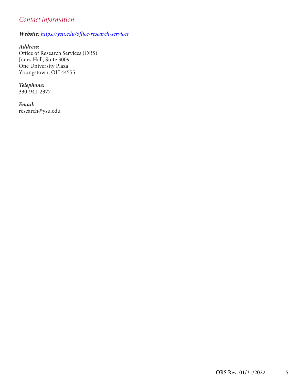## *Contact information*

#### *Website: <https://ysu.edu/office-research-services>*

*Address:* Office of Research Services (ORS) Jones Hall, Suite 3009 One University Plaza Youngstown, OH 44555

#### *Telephone:*

330-941-2377

*Email:*  [research@ysu.edu](mailto:research@ysu.edu)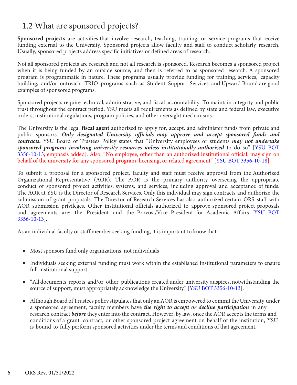# 1.2 What are sponsored projects?

**Sponsored projects** are activities that involve research, teaching, training, or service programs that receive funding external to the University. Sponsored projects allow faculty and staff to conduct scholarly research. Usually, sponsored projects address specific initiatives or defined areas of research.

Not all sponsored projects are research and not all research is sponsored. Research becomes a sponsored project when it is being funded by an outside source, and then is referred to as sponsored research. A sponsored program is programmatic in nature. These programs usually provide funding for training, services, capacity building, and/or outreach. TRIO programs such as Student Support Services and Upward Bound are good examples of sponsored programs.

Sponsored projects require technical, administrative, and fiscal accountability. To maintain integrity and public trust throughout the contract period, YSU meets all requirements as defined by state and federal law, executive orders, institutional regulations, program policies, and other oversight mechanisms.

The University is the legal **fiscal agent** authorized to apply for, accept, and administer funds from private and public sponsors. *Only designated University officials may approve and accept sponsored funds and contracts.* YSU Board of Trustees Policy states that "University employees or students *may not undertake sponsored programs involving university resources unless institutionally authorized* to do so" [YSU BOT [3356-10-13; emphasis added\]. Also, "No employee, other than an authorized institutional official, may sign on](https://ysu.edu/human-resources/university-policies/policies-number/10-academic-affairs) behalf of the university for any sponsored program, licensing, or related agreement" [[YSU BOT 3356-10-18](https://ysu.edu/human-resources/university-policies/policies-number/10-academic-affairs)].

To submit a proposal for a sponsored project, faculty and staff must receive approval from the Authorized Organizational Representative (AOR). The AOR is the primary authority overseeing the appropriate conduct of sponsored project activities, systems, and services, including approval and acceptance of funds. The AOR at YSU is the Director of Research Services. Only this individual may sign contracts and authorize the submission of grant proposals. The Director of Research Services has also authorized certain ORS staff with AOR submission privileges. Other institutional officials authorized to approve sponsored project proposals and agreements are: the President [and the Provost/Vice President for Academic Affairs \[YSU BOT](https://ysu.edu/human-resources/university-policies/policies-number/10-academic-affairs) 3356-10-13].

As an individual faculty or staff member seeking funding, it is important to know that:

- Most sponsors fund only organizations, not individuals
- Individuals seeking external funding must work within the established institutional parameters to ensure full institutional support
- • "All documents, reports, and/or other publications created under university auspices, notwithstanding the source of support, must appropriately acknowledge the University" [[YSU BOT 3356-10-13](https://ysu.edu/human-resources/university-policies/policies-number/10-academic-affairs)].
- Although Board ofTrustees policy stipulates that only an AOR is empowered to commit the University under a sponsored agreement, faculty members have *the right to accept or decline participation* in any research contract *before* they enter into the contract. However, by law, once the AOR accepts the terms and conditions of a grant, contract, or other sponsored project agreement on behalf of the institution, YSU is bound to fully perform sponsored activities under the terms and conditions of that agreement.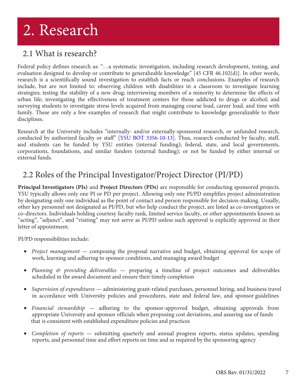# 2. Research

# 2.1 What is research?

Federal policy defines research as: "…a systematic investigation, including research development, testing, and evaluation designed to develop or contribute to generalizable knowledge" [45 CFR 46.102(d)]. In other words, research is a scientifically sound investigation to establish facts or reach conclusions. Examples of research include, but are not limited to: observing children with disabilities in a classroom to investigate learning strategies; testing the stability of a new drug; interviewing members of a minority to determine the effects of urban life; investigating the effectiveness of treatment centers for those addicted to drugs or alcohol; and surveying students to investigate stress levels acquired from managing course load, career load, and time with family. These are only a few examples of research that might contribute to knowledge generalizable to their disciplines.

Research at the University includes "internally- and/or externally-sponsored research, or unfunded research, conducted by authorized faculty or staff" [[YSU BOT 3356-10-13](https://ysu.edu/human-resources/university-policies/policies-number/10-academic-affairs)]. Thus, research conducted by faculty, staff, and students can be funded by YSU entities (internal funding); federal, state, and local governments, corporations, foundations, and similar funders (external funding); or not be funded by either internal or external funds.

# 2.2 Roles of the Principal Investigator/Project Director (PI/PD)

**Principal Investigators (PIs)** and **Project Directors (PDs)** are responsible for conducting sponsored projects. YSU typically allows only one PI or PD per project. Allowing only one PI/PD simplifies project administration by designating only one individual as the point of contact and person responsible for decision-making. Usually, other key personnel not designated as PI/PD, but who help conduct the project, are listed as co-investigators or co-directors. Individuals holding courtesy faculty rank, limited service faculty, or other appointments known as "acting", "adjunct", and "visiting" may not serve as PI/PD unless such approval is explicitly approved in their letter of appointment.

PI/PD responsibilities include:

- *Project management* composing the proposal narrative and budget, obtaining approval for scope of work, learning and adhering to sponsor conditions, and managing award budget
- *• Planning & providing deliverables*  preparing a timeline of project outcomes and deliverables scheduled in the award document and ensure their timely completion
- *Supervision of expenditures* administering grant-related purchases, personnel hiring, and business travel in accordance with University policies and procedures, state and federal law, and sponsor guidelines
- *Financial stewardship* adhering to the sponsor-approved budget, obtaining approvals from appropriate University and sponsor officials when proposing cost deviations, and assuring use of funds that is consistent with established expenditure policies and practices
- *Completion of reports* submitting quarterly and annual progress reports, status updates, spending reports, and personnel time and effort reports on time and as required by the sponsoring agency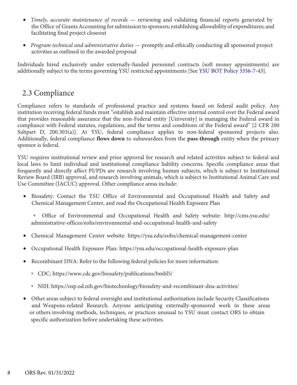- *• Timely, accurate maintenance of records* reviewing and validating financial reports generated by the Office of Grants Accounting for submission to sponsors; establishing allowability of expenditures; and facilitating final project closeout
- *• Program technical and administrative duties* promptly and ethically conducting all sponsored project activities as outlined in the awarded proposal

Individuals hired exclusively under externally-funded personnel contracts (soft money appointments) are additionally subject to the terms governing YSU restricted appointments [See [YSU BOT Policy 3356-7-43\]](https://ysu.edu/human-resources/university-policies/policies-number/7-human-resources).

## 2.3 Compliance

Compliance refers to standards of professional practice and systems based on federal audit policy. Any institution receiving federal funds must "establish and maintain effective internal control over the Federal award that provides reasonable assurance that the non-Federal entity [University] is managing the Federal award in compliance with Federal statutes, regulations, and the terms and conditions of the Federal award" [2 CFR 200 Subpart D, 200.303(a)]. At YSU, federal compliance applies to non-federal sponsored projects also. Additionally, federal compliance **flows down** to subawardees from the **pass-through** entity when the primary sponsor is federal.

YSU requires institutional review and prior approval for research and related activities subject to federal and local laws to limit individual and institutional compliance liability concerns. Specific compliance areas that frequently and directly affect PI/PDs are research involving human subjects, which is subject to Institutional Review Board (IRB) approval, and research involving animals, which is subject to Institutional Animal Care and Use Committee (IACUC) approval. Other compliance areas include:

• Biosafety: Contact the YSU Office of Environmental and Occupational Health and Safety and Chemical Management Center, and read the Occupational Health Exposure Plan

◦ Office of Environmental and Occupational Health and Safety website: <http://cms.ysu.edu>/ administrative-offices/eohs/environmental-and-occupational-health-and-safety

- Chemical Management Center website: <https://ysu.edu/eohs/chemical-management-center>
- Occupational Health Exposure Plan: <https://ysu.edu/occupational-health-exposure-plan>
- Recombinant DNA: Refer to the following federal policies for more information:
	- CDC:<https://www.cdc.gov/biosafety/publications/bmbl5>/
	- NIH: [https://osp.od.nih.gov/biotechnology/biosafety-and-recombinant-dna-activities/](https://osp.od.nih.gov/biotechnology/biosafety-and-recombinant-dna-activities)
- and Weapons-related Research. Anyone anticipating externally-sponsored work in these areas • Other areas subject to federal oversight and institutional authorization include Security Classifications or others involving methods, techniques, or practices unusual to YSU must contact ORS to obtain specific authorization before undertaking these activities.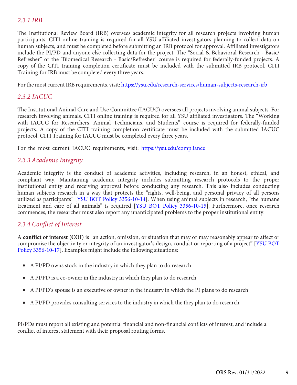#### *2.3.1 IRB*

The Institutional Review Board (IRB) oversees academic integrity for all research projects involving human participants. CITI online training is required for all YSU affiliated investigators planning to collect data on human subjects, and must be completed before submitting an IRB protocol for approval. Affiliated investigators include the PI/PD and anyone else collecting data for the project. The "Social & Behavioral Research - Basic/ Refresher" or the "Biomedical Research - Basic/Refresher" course is required for federally-funded projects. A copy of the CITI training completion certificate must be included with the submitted IRB protocol. CITI Training for IRB must be completed every three years.

For the most current IRB requirements, visit:<https://ysu.edu/research-services/human-subjects-research-irb>

## *2.3.2 IACUC*

The Institutional Animal Care and Use Committee (IACUC) oversees all projects involving animal subjects. For research involving animals, CITI online training is required for all YSU affiliated investigators. The "Working with IACUC for Researchers, Animal Technicians, and Students" course is required for federally-funded projects. A copy of the CITI training completion certificate must be included with the submitted IACUC protocol. CITI Training for IACUC must be completed every three years.

For the most current IACUC requirements, visit: <https://ysu.edu/compliance>

### *2.3.3 Academic Integrity*

Academic integrity is the conduct of academic activities, including research, in an honest, ethical, and compliant way. Maintaining academic integrity includes submitting research protocols to the proper institutional entity and receiving approval before conducting any research. This also includes conducting human subjects research in a way that protects the "rights, well-being, and personal privacy of all persons utilized as participants" [\[YSU BOT Policy 3356-10-14](https://ysu.edu/human-resources/university-policies/policies-number/10-academic-affairs)]. When using animal subjects in research, "the humane treatment and care of all animals" is required [[YSU BOT Policy 3356-10-15\]](https://ysu.edu/human-resources/university-policies/policies-number/10-academic-affairs). Furthermore, once research commences, the researcher must also report any unanticipated problems to the proper institutional entity.

### *2.3.4 Conflict of Interest*

A **conflict of interest (COI)** is "an action, omission, or situation that may or may reasonably appear to affect or [compromise the objectivity or integrity of an investigator's design, conduct or reporting of a project" \[YSU BOT](https://ysu.edu/human-resources/university-policies/policies-number/10-academic-affairs) Policy 3356-10-17]. Examples might include the following situations:

- A PI/PD owns stock in the industry in which they plan to do research
- A PI/PD is a co-owner in the industry in which they plan to do research
- A PI/PD's spouse is an executive or owner in the industry in which the PI plans to do research
- A PI/PD provides consulting services to the industry in which the they plan to do research

PI/PDs must report all existing and potential financial and non-financial conflicts of interest, and include a conflict of interest statement with their proposal routing forms.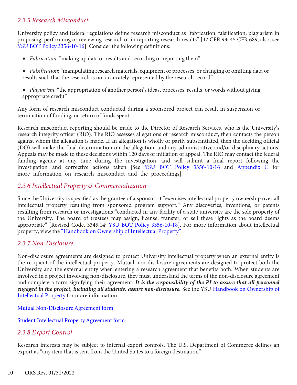## *2.3.5 Research Misconduct*

University policy and federal regulations define research misconduct as "fabrication, falsification, plagiarism in proposing, performing or reviewing research or in reporting research results" [42 CFR 93; 45 CFR 689; also, see [YSU BOT Policy 3356-10-16\]](https://ysu.edu/human-resources/university-policies/policies-number/10-academic-affairs). Consider the following definitions:

- *• Fabrication*: "making up data or results and recording or reporting them"
- *• Falsification*: "manipulating research materials, equipment or processes, or changing or omitting data or results such that the research is not accurately represented by the research record"
- *• Plagiarism*: "the appropriation of another person's ideas, processes, results, or words without giving appropriate credit"

Any form of research misconduct conducted during a sponsored project can result in suspension or termination of funding, or return of funds spent.

 investigation and corrective actions taken [See [YSU BOT Policy 3356-10-16](https://ysu.edu/human-resources/university-policies/policies-number/10-academic-affairs) and [Appendix](#page-33-0) C for Research misconduct reporting should be made to the Director of Research Services, who is the University's research integrity officer (RIO). The RIO assesses allegations of research misconduct, then contacts the person against whom the allegation is made. If an allegation is wholly or partly substantiated, then the deciding official (DO) will make the final determination on the allegation, and any administrative and/or disciplinary actions. Appeals may be made to these decisions within 120 days of initiation of appeal. The RIO may contact the federal funding agency at any time during the investigation, and will submit a final report following the more information on research misconduct and the proceedings].

### *2.3.6 Intellectual Property & Commercialization*

Since the University is specified as the grantee of a sponsor, it "exercises intellectual property ownership over all intellectual property resulting from sponsored program support." Any discoveries, inventions, or patents resulting from research or investigations "conducted in any facility of a state university are the sole property of the University. The board of trustees may assign, license, transfer, or sell these rights as the board deems appropriate" [Revised Code, 3345.14; [YSU BOT Policy 3356-10-18\]](https://ysu.edu/human-resources/university-policies/policies-number/10-academic-affairs). For more information about intellectual property, view the ["Handbook on Ownership of Intellectual Property"](https://ysu.edu/sites/default/files/users/arriggleman/2020%20-%20IP%20Handbook.pdf) .

#### *2.3.7 Non-Disclosure*

Non-disclosure agreements are designed to protect University intellectual property when an external entity is the recipient of the intellectual property. Mutual non-disclosure agreements are designed to protect both the University and the external entity when entering a research agreement that benefits both. When students are involved in a project involving non-disclosure, they must understand the terms of the non-disclosure agreement and complete a form signifying their agreement. *It is the responsibility of the PI to assure that all personnel [engaged in the project, including all students, assure non-disclosure.](https://ysu.edu/sites/default/files/users/arriggleman/2020%20-%20IP%20Handbook.pdf)* See the YSU Handbook on Ownership of Intellectual Property for more information.

[Mutual Non-Disclosure Agreement form](https://ysu.edu/sites/default/files/users/arriggleman/ORS%2011.0%20Mutual%20NDA_ADA%20022820.pdf)

[Student Intellectual Property Agreement form](https://ysu.edu/sites/default/files/research/ADA_ORS_14.0_Student_IP_Agreement.pdf)

### *2.3.8 Export Control*

Research interests may be subject to internal export controls. The U.S. Department of Commerce defines an export as "any item that is sent from the United States to a foreign destination"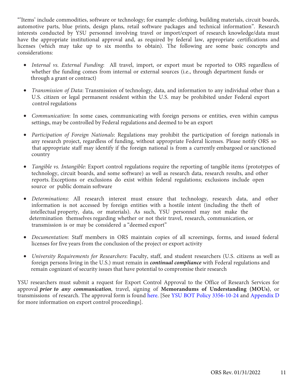"'Items' include commodities, software or technology; for example: clothing, building materials, circuit boards, automotive parts, blue prints, design plans, retail software packages and technical information". Research interests conducted by YSU personnel involving travel or import/export of research knowledge/data must have the appropriate institutional approval and, as required by federal law, appropriate certifications and licenses (which may take up to six months to obtain). The following are some basic concepts and considerations:

- *• Internal vs. External Funding*: All travel, import, or export must be reported to ORS regardless of whether the funding comes from internal or external sources (i.e., through department funds or through a grant or contract)
- *• Transmission of Data*: Transmission of technology, data, and information to any individual other than a U.S. citizen or legal permanent resident within the U.S. may be prohibited under Federal export control regulations
- *• Communication*: In some cases, communicating with foreign persons or entities, even within campus settings, may be controlled by Federal regulations and deemed to be an export
- *• Participation of Foreign Nationals*: Regulations may prohibit the participation of foreign nationals in any research project, regardless of funding, without appropriate Federal licenses. Please notify ORS so that appropriate staff may identify if the foreign national is from a currently embargoed or sanctioned country
- *• Tangible vs. Intangible*: Export control regulations require the reporting of tangible items (prototypes of technology, circuit boards, and some software) as well as research data, research results, and other reports. Exceptions or exclusions do exist within federal regulations; exclusions include open source or public domain software
- intellectual property, data, or materials). As such, YSU personnel may not make the *• Determinations*: All research interest must ensure that technology, research data, and other information is not accessed by foreign entities with a hostile intent (including the theft of determination themselves regarding whether or not their travel, research, communication, or transmission is or may be considered a "deemed export"
- *• Documentation*: Staff members in ORS maintain copies of all screenings, forms, and issued federal licenses for five years from the conclusion of the project or export activity
- *• University Requirements for Researchers*: Faculty, staff, and student researchers (U.S. citizens as well as foreign persons living in the U.S.) must remain in *continual compliance* with Federal regulations and remain cognizant of security issues that have potential to compromise their research

YSU researchers must submit a request for Export Control Approval to the Office of Research Services for approval *prior to any communication*, travel, signing of **Memorandums of Understanding (MOUs)**, or transmissions of research. The approval form is found [here.](https://ysu.edu/sites/default/files/users/arriggleman/ADA_ORS%203.0%20Export%20Control%20Form%20%28Digital%20Sig%29_ADA.pdf) [See [YSU BOT Policy 3356-10-24](https://ysu.edu/human-resources/university-policies/policies-number/10-academic-affairs) and [Appendix D](#page-36-0) for more information on export control proceedings].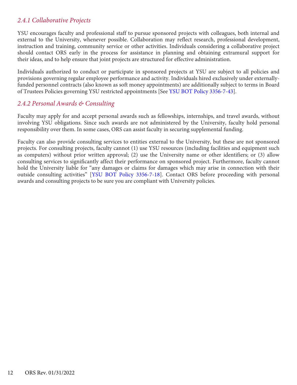## *2.4.1 Collaborative Projects*

YSU encourages faculty and professional staff to pursue sponsored projects with colleagues, both internal and external to the University, whenever possible. Collaboration may reflect research, professional development, instruction and training, community service or other activities. Individuals considering a collaborative project should contact ORS early in the process for assistance in planning and obtaining extramural support for their ideas, and to help ensure that joint projects are structured for effective administration.

Individuals authorized to conduct or participate in sponsored projects at YSU are subject to all policies and provisions governing regular employee performance and activity. Individuals hired exclusively under externallyfunded personnel contracts (also known as soft money appointments) are additionally subject to terms in Board of Trustees Policies governing YSU restricted appointments [See [YSU BOT Policy 3356-7-43\]](https://ysu.edu/human-resources/university-policies/policies-number/7-human-resources).

## *2.4.2 Personal Awards & Consulting*

Faculty may apply for and accept personal awards such as fellowships, internships, and travel awards, without involving YSU obligations. Since such awards are not administered by the University, faculty hold personal responsibility over them. In some cases, ORS can assist faculty in securing supplemental funding.

Faculty can also provide consulting services to entities external to the University, but these are not sponsored projects. For consulting projects, faculty cannot (1) use YSU resources (including facilities and equipment such as computers) without prior written approval; (2) use the University name or other identifiers; or (3) allow consulting services to significantly affect their performance on sponsored project. Furthermore, faculty cannot hold the University liable for "any damages or claims for damages which may arise in connection with their outside consulting activities" [\[YSU BOT Policy 3356-7-18\]](https://ysu.edu/human-resources/university-policies/policies-number/7-human-resources). Contact ORS before proceeding with personal awards and consulting projects to be sure you are compliant with University policies.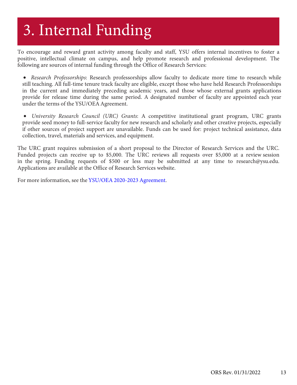# 3. Internal Funding

To encourage and reward grant activity among faculty and staff, YSU offers internal incentives to foster a positive, intellectual climate on campus, and help promote research and professional development. The following are sources of internal funding through the Office of Research Services:

*• Research Professorships*: Research professorships allow faculty to dedicate more time to research while still teaching. All full-time tenure track faculty are eligible, except those who have held Research Professorships in the current and immediately preceding academic years, and those whose external grants applications provide for release time during the same period. A designated number of faculty are appointed each year under the terms of the YSU/OEA Agreement.

*• University Research Council (URC) Grants*: A competitive institutional grant program, URC grants provide seed money to full-service faculty for new research and scholarly and other creative projects, especially if other sources of project support are unavailable. Funds can be used for: project technical assistance, data collection, travel, materials and services, and equipment.

The URC grant requires submission of a short proposal to the Director of Research Services and the URC. Funded projects can receive up to \$5,000. The URC reviews all requests over \$5,000 at a review session in the spring. Funding requests of \$500 or less may be submitted at any time to [research@ysu.edu](mailto:research@ysu.edu). Applications are available at the Office of Research Services website.

For more information, see the [YSU/OEA 2020-2023](https://ysu.edu/sites/default/files/users/aayanniello/2020-2023%20YSU-OEA%20Collective%20Bargaining%20Agreement%20-%20Signed.pdf) Agreement.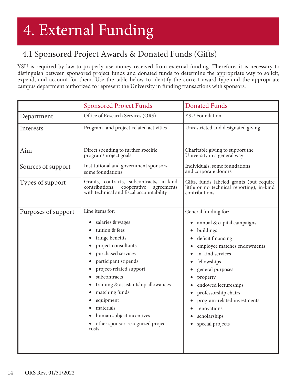# 4. External Funding

# 4.1 Sponsored Project Awards & Donated Funds (Gifts)

YSU is required by law to properly use money received from external funding. Therefore, it is necessary to distinguish between sponsored project funds and donated funds to determine the appropriate way to solicit, expend, and account for them. Use the table below to identify the correct award type and the appropriate campus department authorized to represent the University in funding transactions with sponsors.

|                     | <b>Sponsored Project Funds</b>                                                                                                                                                                                                                                                                                                                       | <b>Donated Funds</b>                                                                                                                                                                                                                                                                                                     |  |
|---------------------|------------------------------------------------------------------------------------------------------------------------------------------------------------------------------------------------------------------------------------------------------------------------------------------------------------------------------------------------------|--------------------------------------------------------------------------------------------------------------------------------------------------------------------------------------------------------------------------------------------------------------------------------------------------------------------------|--|
| Department          | Office of Research Services (ORS)                                                                                                                                                                                                                                                                                                                    | <b>YSU</b> Foundation                                                                                                                                                                                                                                                                                                    |  |
| Interests           | Program- and project-related activities                                                                                                                                                                                                                                                                                                              | Unrestricted and designated giving                                                                                                                                                                                                                                                                                       |  |
| Aim                 | Direct spending to further specific<br>program/project goals                                                                                                                                                                                                                                                                                         | Charitable giving to support the<br>University in a general way                                                                                                                                                                                                                                                          |  |
| Sources of support  | Institutional and government sponsors,<br>some foundations                                                                                                                                                                                                                                                                                           | Individuals, some foundations<br>and corporate donors                                                                                                                                                                                                                                                                    |  |
| Types of support    | Grants, contracts, subcontracts, in-kind<br>cooperative<br>contributions,<br>agreements<br>with technical and fiscal accountability                                                                                                                                                                                                                  | Gifts, funds labeled grants (but require<br>little or no technical reporting), in-kind<br>contributions                                                                                                                                                                                                                  |  |
| Purposes of support | Line items for:<br>salaries & wages<br>tuition & fees<br>fringe benefits<br>project consultants<br>purchased services<br>participant stipends<br>project-related support<br>subcontracts<br>training & assistantship allowances<br>matching funds<br>equipment<br>materials<br>human subject incentives<br>other sponsor-recognized project<br>costs | General funding for:<br>annual & capital campaigns<br>buildings<br>deficit financing<br>employee matches endowments<br>in-kind services<br>fellowships<br>general purposes<br>property<br>endowed lectureships<br>professorship chairs<br>program-related investments<br>renovations<br>scholarships<br>special projects |  |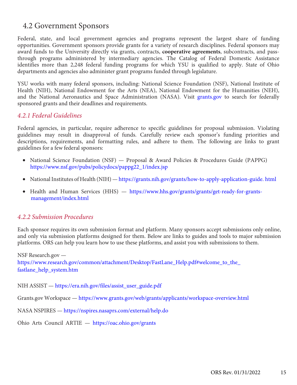# 4.2 Government Sponsors

Federal, state, and local government agencies and programs represent the largest share of funding opportunities. Government sponsors provide grants for a variety of research disciplines. Federal sponsors may award funds to the University directly via grants, contracts, **cooperative agreements**, subcontracts, and passthrough programs administered by intermediary agencies. The Catalog of Federal Domestic Assistance identifies more than 2,248 federal funding programs for which YSU is qualified to apply. State of Ohio departments and agencies also administer grant programs funded through legislature.

YSU works with many federal sponsors, including: National Science Foundation (NSF), National Institute of Health (NIH), National Endowment for the Arts (NEA), National Endowment for the Humanities (NEH), and the National Aeronautics and Space Administration (NASA). Visit [grants.gov](https://www.grants.gov/) to search for federally sponsored grants and their deadlines and requirements.

#### *4.2.1 Federal Guidelines*

Federal agencies, in particular, require adherence to specific guidelines for proposal submission. Violating guidelines may result in disapproval of funds. Carefully review each sponsor's funding priorities and descriptions, requirements, and formatting rules, and adhere to them. The following are links to grant guidelines for a few federal sponsors:

- National Science Foundation (NSF) Proposal & Award Policies & Procedures Guide (PAPPG) [https://www.nsf.gov/pubs/policydocs/pappg22\\_1/index.jsp](https://www.nsf.gov/pubs/policydocs/pappg22_1/index.jsp)
- National Institutes of Health (NIH) [https://grants.nih.gov/grants/how-to-apply-application-guide. html](https://grants.nih.gov/grants/how-to-apply-application-guide.html)
- [Health and Human Services \(HHS\) https://www.hhs.gov/grants/grants/get-ready-for-grants](https://www.hhs.gov/grants/grants/get-ready-for-grants-management/index.html)management/index.html

### *4.2.2 Submission Procedures*

Each sponsor requires its own submission format and platform. Many sponsors accept submissions only online, and only via submission platforms designed for them. Below are links to guides and tools to major submission platforms. ORS can help you learn how to use these platforms, and assist you with submissions to them.

NSF [Research.gov](https://Research.gov)  [https://www.research.gov/common/attachment/Desktop/FastLane\\_Help.pdf#welcome\\_to\\_the\\_](https://www.research.gov/common/attachment/Desktop/FastLane_Help.pdf#welcome_to_the) fastlane\_help\_system.htm

NIH ASSIST — [https://era.nih.gov/files/assist\\_user\\_guide.pdf](https://era.nih.gov/files/assist_user_guide.pdf) 

[Grants.gov](https://Grants.gov) Workspace —<https://www.grants.gov/web/grants/applicants/workspace-overview.html>

NASA NSPIRES — <https://nspires.nasaprs.com/external/help.do>

Ohio Arts Council ARTIE — <https://oac.ohio.gov/grants>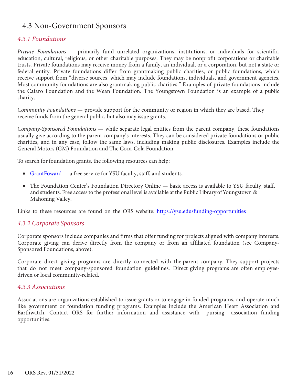# 4.3 Non-Government Sponsors

## *4.3.1 Foundations*

*Private Foundations* — primarily fund unrelated organizations, institutions, or individuals for scientific, education, cultural, religious, or other charitable purposes. They may be nonprofit corporations or charitable trusts. Private foundations may receive money from a family, an individual, or a corporation, but not a state or federal entity. Private foundations differ from grantmaking public charities, or public foundations, which receive support from "diverse sources, which may include foundations, individuals, and government agencies. Most community foundations are also grantmaking public charities." Examples of private foundations include the Cafaro Foundation and the Wean Foundation. The Youngstown Foundation is an example of a public charity.

*Community Foundations* — provide support for the community or region in which they are based. They receive funds from the general public, but also may issue grants.

*Company-Sponsored Foundations* — while separate legal entities from the parent company, these foundations usually give according to the parent company's interests. They can be considered private foundations or public charities, and in any case, follow the same laws, including making public disclosures. Examples include the General Motors (GM) Foundation and The Coca-Cola Foundation.

To search for foundation grants, the following resources can help:

- [GrantFoward](https://www.grantforward.com/index) a free service for YSU faculty, staff, and students.
- The Foundation Center's Foundation Directory Online basic access is available to YSU faculty, staff, and students. Free access to the professional level is available at the Public Library of Youngstown & Mahoning Valley.

Links to these resources are found on the ORS website: <https://ysu.edu/funding-opportunities>

### *4.3.2 Corporate Sponsors*

Corporate sponsors include companies and firms that offer funding for projects aligned with company interests. Corporate giving can derive directly from the company or from an affiliated foundation (see Company-Sponsored Foundations, above).

Corporate direct giving programs are directly connected with the parent company. They support projects that do not meet company-sponsored foundation guidelines. Direct giving programs are often employeedriven or local community-related.

#### *4.3.3 Associations*

 Earthwatch. Contact ORS for further information and assistance with pursing association funding Associations are organizations established to issue grants or to engage in funded programs, and operate much like government or foundation funding programs. Examples include the American Heart Association and opportunities.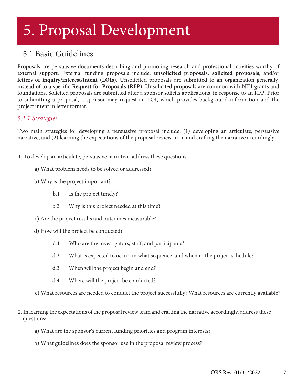# 5. Proposal Development

# 5.1 Basic Guidelines

Proposals are persuasive documents describing and promoting research and professional activities worthy of external support. External funding proposals include: **unsolicited proposals**, **solicited proposals**, and/or **letters of inquiry/interest/intent (LOIs)**. Unsolicited proposals are submitted to an organization generally, instead of to a specific **Request for Proposals (RFP)**. Unsolicited proposals are common with NIH grants and foundations. Solicited proposals are submitted after a sponsor solicits applications, in response to an RFP. Prior to submitting a proposal, a sponsor may request an LOI, which provides background information and the project intent in letter format.

## *5.1.1 Strategies*

Two main strategies for developing a persuasive proposal include: (1) developing an articulate, persuasive narrative, and (2) learning the expectations of the proposal review team and crafting the narrative accordingly.

- 1. To develop an articulate, persuasive narrative, address these questions:
	- a) What problem needs to be solved or addressed?
	- b) Why is the project important?
		- b.1 Is the project timely?
		- b.2 Why is this project needed at this time?
	- c) Are the project results and outcomes measurable?
	- d) How will the project be conducted?
		- d.1 Who are the investigators, staff, and participants?
		- d.2 What is expected to occur, in what sequence, and when in the project schedule?
		- d.3 When will the project begin and end?
		- d.4 Where will the project be conducted?
	- e) What resources are needed to conduct the project successfully? What resources are currently available?
- 2. In learning the expectations of the proposal review team and crafting the narrative accordingly, address these questions:
	- a) What are the sponsor's current funding priorities and program interests?
	- b) What guidelines does the sponsor use in the proposal review process?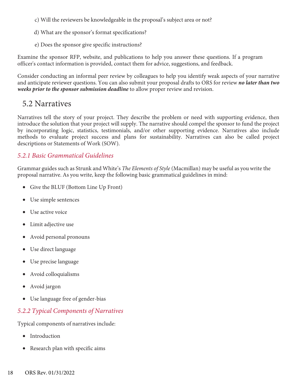c) Will the reviewers be knowledgeable in the proposal's subject area or not?

- d) What are the sponsor's format specifications?
- e) Does the sponsor give specific instructions?

Examine the sponsor RFP, website, and publications to help you answer these questions. If a program officer's contact information is provided, contact them for advice, suggestions, and feedback.

Consider conducting an informal peer review by colleagues to help you identify weak aspects of your narrative and anticipate reviewer questions. You can also submit your proposal drafts to ORS for review *no later than two weeks prior to the sponsor submission deadline* to allow proper review and revision.

## 5.2 Narratives

Narratives tell the story of your project. They describe the problem or need with supporting evidence, then introduce the solution that your project will supply. The narrative should compel the sponsor to fund the project by incorporating logic, statistics, testimonials, and/or other supporting evidence. Narratives also include methods to evaluate project success and plans for sustainability. Narratives can also be called project descriptions or Statements of Work (SOW).

## *5.2.1 Basic Grammatical Guidelines*

Grammar guides such as Strunk and White's *The Elements of Style* (Macmillan) may be useful as you write the proposal narrative. As you write, keep the following basic grammatical guidelines in mind:

- Give the BLUF (Bottom Line Up Front)
- Use simple sentences
- Use active voice
- Limit adjective use
- Avoid personal pronouns
- Use direct language
- Use precise language
- Avoid colloquialisms
- Avoid jargon
- Use language free of gender-bias

## *5.2.2 Typical Components of Narratives*

Typical components of narratives include:

- Introduction
- Research plan with specific aims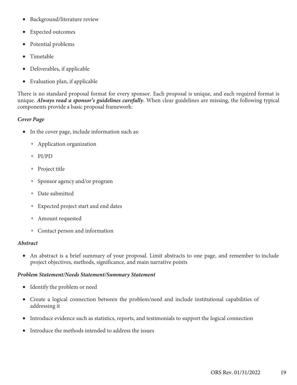- Background/literature review
- Expected outcomes
- Potential problems
- Timetable
- Deliverables, if applicable
- Evaluation plan, if applicable

There is no standard proposal format for every sponsor. Each proposal is unique, and each required format is unique. *Always read a sponsor's guidelines carefully*. When clear guidelines are missing, the following typical components provide a basic proposal framework:

#### *Cover Page*

- In the cover page, include information such as:
	- Application organization
	- PI/PD
	- Project title
	- Sponsor agency and/or program
	- Date submitted
	- Expected project start and end dates
	- Amount requested
	- Contact person and information

#### *Abstract*

• An abstract is a brief summary of your proposal. Limit abstracts to one page, and remember to include project objectives, methods, significance, and main narrative points

#### *Problem Statement/Needs Statement/Summary Statement*

- Identify the problem or need
- Create a logical connection between the problem/need and include institutional capabilities of addressing it
- Introduce evidence such as statistics, reports, and testimonials to support the logical connection
- Introduce the methods intended to address the issues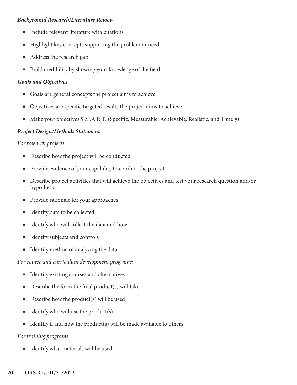#### *Background Research/Literature Review*

- Include relevant literature with citations
- Highlight key concepts supporting the problem or need
- Address the research gap
- Build credibility by showing your knowledge of the field

## *Goals and Objectives*

- Goals are general concepts the project aims to achieve.
- Objectives are specific targeted results the project aims to achieve.
- Make your objectives S.M.A.R.T. (Specific, Measurable, Achievable, Realistic, and Timely)

## *Project Design/Methods Statement*

## *For research projects:*

- Describe how the project will be conducted
- Provide evidence of your capability to conduct the project
- Describe project activities that will achieve the objectives and test your research question and/or hypothesis
- Provide rationale for your approaches
- Identify data to be collected
- Identify who will collect the data and how
- Identify subjects and controls
- Identify method of analyzing the data

*For course and curriculum development programs:*

- Identify existing courses and alternatives
- Describe the form the final product(s) will take
- Describe how the product(s) will be used
- Identify who will use the product(s)
- Identify if and how the product(s) will be made available to others

## *For training programs:*

• Identify what materials will be used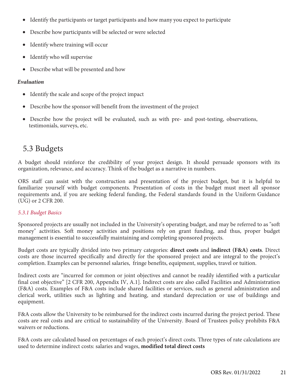- Identify the participants or target participants and how many you expect to participate
- Describe how participants will be selected or were selected
- Identify where training will occur
- Identify who will supervise
- Describe what will be presented and how

#### *Evaluation*

- Identify the scale and scope of the project impact
- Describe how the sponsor will benefit from the investment of the project
- Describe how the project will be evaluated, such as with pre- and post-testing, observations, testimonials, surveys, etc.

# 5.3 Budgets

A budget should reinforce the credibility of your project design. It should persuade sponsors with its organization, relevance, and accuracy. Think of the budget as a narrative in numbers.

ORS staff can assist with the construction and presentation of the project budget, but it is helpful to familiarize yourself with budget components. Presentation of costs in the budget must meet all sponsor requirements and, if you are seeking federal funding, the Federal standards found in the Uniform Guidance (UG) or 2 CFR 200.

### *5.3.1 Budget Basics*

Sponsored projects are usually not included in the University's operating budget, and may be referred to as "soft money" activities. Soft money activities and positions rely on grant funding, and thus, proper budget management is essential to successfully maintaining and completing sponsored projects.

Budget costs are typically divided into two primary categories: **direct costs** and **indirect (F&A) costs**. Direct costs are those incurred specifically and directly for the sponsored project and are integral to the project's completion. Examples can be personnel salaries, fringe benefits, equipment, supplies, travel or tuition.

Indirect costs are "incurred for common or joint objectives and cannot be readily identified with a particular final cost objective" [2 CFR 200, Appendix IV, A.1]. Indirect costs are also called Facilities and Administration (F&A) costs. Examples of F&A costs include shared facilities or services, such as general administration and clerical work, utilities such as lighting and heating, and standard depreciation or use of buildings and equipment.

F&A costs allow the University to be reimbursed for the indirect costs incurred during the project period. These costs are real costs and are critical to sustainability of the University. Board of Trustees policy prohibits F&A waivers or reductions.

F&A costs are calculated based on percentages of each project's direct costs. Three types of rate calculations are used to determine indirect costs: salaries and wages, **modified total direct costs**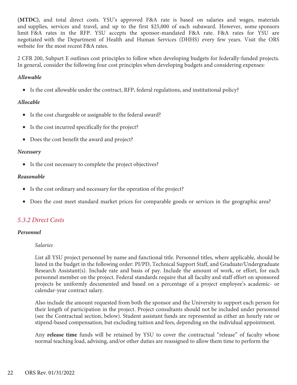and supplies, services and travel, and up to the first \$25,000 of each subaward. However, some sponsors **(MTDC)**, and total direct costs. YSU's approved F&A rate is based on salaries and wages, materials limit F&A rates in the RFP. YSU accepts the sponsor-mandated F&A rate. F&A rates for YSU are negotiated with the Department of Health and Human Services (DHHS) every few years. Visit the ORS website for the most recent F&A rates.

2 CFR 200, Subpart E outlines cost principles to follow when developing budgets for federally-funded projects. In general, consider the following four cost principles when developing budgets and considering expenses:

#### *Allowable*

• Is the cost allowable under the contract, RFP, federal regulations, and institutional policy?

#### *Allocable*

- Is the cost chargeable or assignable to the federal award?
- Is the cost incurred specifically for the project?
- Does the cost benefit the award and project?

#### *Necessary*

• Is the cost necessary to complete the project objectives?

#### *Reasonable*

- Is the cost ordinary and necessary for the operation of the project?
- Does the cost meet standard market prices for comparable goods or services in the geographic area?

## *5.3.2 Direct Costs*

#### *Personnel*

#### *Salaries*

List all YSU project personnel by name and functional title. Personnel titles, where applicable, should be listed in the budget in the following order: PI/PD, Technical Support Staff, and Graduate/Undergraduate Research Assistant(s). Include rate and basis of pay. Include the amount of work, or effort, for each personnel member on the project. Federal standards require that all faculty and staff effort on sponsored projects be uniformly documented and based on a percentage of a project employee's academic- or calendar-year contract salary.

Also include the amount requested from both the sponsor and the University to support each person for their length of participation in the project. Project consultants should not be included under personnel (see the Contractual section, below). Student assistant funds are represented as either an hourly rate or stipend-based compensation, but excluding tuition and fees, depending on the individual appointment.

Any **release time** funds will be retained by YSU to cover the contractual "release" of faculty whose normal teaching load, advising, and/or other duties are reassigned to allow them time to perform the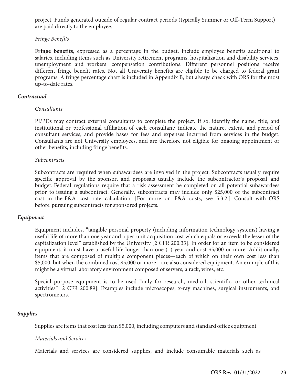project. Funds generated outside of regular contract periods (typically Summer or Off-Term Support) are paid directly to the employee.

#### *Fringe Benefits*

**Fringe benefits**, expressed as a percentage in the budget, include employee benefits additional to salaries, including items such as University retirement programs, hospitalization and disability services, unemployment and workers' compensation contributions. Different personnel positions receive different fringe benefit rates. Not all University benefits are eligible to be charged to federal grant programs. A fringe percentage chart is included in Appendix B, but always check with ORS for the most up-to-date rates.

#### *Contractual*

#### *Consultants*

PI/PDs may contract external consultants to complete the project. If so, identify the name, title, and institutional or professional affiliation of each consultant; indicate the nature, extent, and period of consultant services; and provide bases for fees and expenses incurred from services in the budget. Consultants are not University employees, and are therefore not eligible for ongoing appointment or other benefits, including fringe benefits.

#### *Subcontracts*

Subcontracts are required when subawardees are involved in the project. Subcontracts usually require specific approval by the sponsor, and proposals usually include the subcontractor's proposal and budget. Federal regulations require that a risk assessment be completed on all potential subawardees prior to issuing a subcontract. Generally, subcontracts may include only \$25,000 of the subcontract cost in the F&A cost rate calculation. [For more on F&A costs, see 5.3.2.] Consult with ORS before pursuing subcontracts for sponsored projects.

#### *Equipment*

Equipment includes, "tangible personal property (including information technology systems) having a useful life of more than one year and a per-unit acquisition cost which equals or exceeds the lesser of the capitalization level" established by the University [2 CFR 200.33]. In order for an item to be considered equipment, it must have a useful life longer than one (1) year and cost \$5,000 or more. Additionally, items that are composed of multiple component pieces—each of which on their own cost less than \$5,000, but when the combined cost \$5,000 or more—are also considered equipment. An example of this might be a virtual laboratory environment composed of servers, a rack, wires, etc.

Special purpose equipment is to be used "only for research, medical, scientific, or other technical activities" [2 CFR 200.89]. Examples include microscopes, x-ray machines, surgical instruments, and spectrometers.

#### *Supplies*

Supplies are items that cost less than \$5,000, including computers and standard office equipment.

#### *Materials and Services*

Materials and services are considered supplies, and include consumable materials such as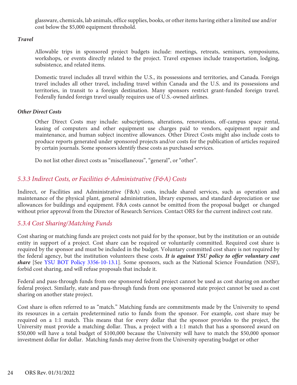glassware, chemicals, lab animals, office supplies, books, or other items having either a limited use and/or cost below the \$5,000 equipment threshold.

#### *Travel*

Allowable trips in sponsored project budgets include: meetings, retreats, seminars, symposiums, workshops, or events directly related to the project. Travel expenses include transportation, lodging, subsistence, and related items.

Domestic travel includes all travel within the U.S., its possessions and territories, and Canada. Foreign travel includes all other travel, including travel within Canada and the U.S. and its possessions and territories, in transit to a foreign destination. Many sponsors restrict grant-funded foreign travel. Federally funded foreign travel usually requires use of U.S.-owned airlines.

#### *Other Direct Costs*

Other Direct Costs may include: subscriptions, alterations, renovations, off-campus space rental, leasing of computers and other equipment use charges paid to vendors, equipment repair and maintenance, and human subject incentive allowances. Other Direct Costs might also include costs to produce reports generated under sponsored projects and/or costs for the publication of articles required by certain journals. Some sponsors identify these costs as purchased services.

Do not list other direct costs as "miscellaneous", "general", or "other".

## *5.3.3 Indirect Costs, or Facilities & Administrative (F&A) Costs*

Indirect, or Facilities and Administrative (F&A) costs, include shared services, such as operation and maintenance of the physical plant, general administration, library expenses, and standard depreciation or use allowances for buildings and equipment. F&A costs cannot be omitted from the proposal budget or changed without prior approval from the Director of Research Services. Contact ORS for the current indirect cost rate.

## *5.3.4 Cost Sharing/Matching Funds*

Cost sharing or matching funds are project costs not paid for by the sponsor, but by the institution or an outside entity in support of a project. Cost share can be required or voluntarily committed. Required cost share is required by the sponsor and must be included in the budget. Voluntary committed cost share is not required by the federal agency, but the institution volunteers these costs. *It is against YSU policy to offer voluntary cost share* [See [YSU BOT Policy 3356-10-13.1](https://ysu.edu/human-resources/university-policies/policies-number/10-academic-affairs)]*.* Some sponsors, such as the National Science Foundation (NSF), forbid cost sharing, and will refuse proposals that include it.

Federal and pass-through funds from one sponsored federal project cannot be used as cost sharing on another federal project. Similarly, state and pass-through funds from one sponsored state project cannot be used as cost sharing on another state project.

Cost share is often referred to as "match." Matching funds are commitments made by the University to spend its resources in a certain predetermined ratio to funds from the sponsor. For example, cost share may be required on a 1:1 match. This means that for every dollar that the sponsor provides to the project, the University must provide a matching dollar. Thus, a project with a 1:1 match that has a sponsored award on \$50,000 will have a total budget of \$100,000 because the University will have to match the \$50,000 sponsor investment dollar for dollar. Matching funds may derive from the University operating budget or other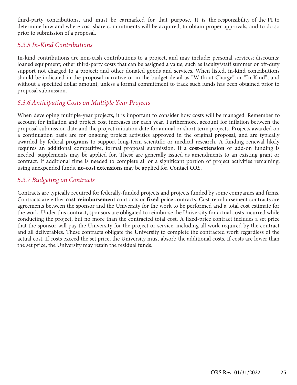third-party contributions, and must be earmarked for that purpose. It is the responsibility of the PI to determine how and where cost share commitments will be acquired, to obtain proper approvals, and to do so prior to submission of a proposal.

## *5.3.5 In-Kind Contributions*

In-kind contributions are non-cash contributions to a project, and may include: personal services; discounts; loaned equipment; other third-party costs that can be assigned a value, such as faculty/staff summer or off-duty support not charged to a project; and other donated goods and services. When listed, in-kind contributions should be indicated in the proposal narrative or in the budget detail as "Without Charge" or "In-Kind", and without a specified dollar amount, unless a formal commitment to track such funds has been obtained prior to proposal submission.

## *5.3.6 Anticipating Costs on Multiple Year Projects*

When developing multiple-year projects, it is important to consider how costs will be managed. Remember to account for inflation and project cost increases for each year. Furthermore, account for inflation between the proposal submission date and the project initiation date for annual or short-term projects. Projects awarded on a continuation basis are for ongoing project activities approved in the original proposal, and are typically awarded by federal programs to support long-term scientific or medical research. A funding renewal likely requires an additional competitive, formal proposal submission. If a **cost-extension** or add-on funding is needed, supplements may be applied for. These are generally issued as amendments to an existing grant or contract. If additional time is needed to complete all or a significant portion of project activities remaining, using unexpended funds, **no-cost extensions** may be applied for. Contact ORS.

## *5.3.7 Budgeting on Contracts*

Contracts are typically required for federally-funded projects and projects funded by some companies and firms. Contracts are either **cost-reimbursement** contracts or **fixed-price** contracts. Cost-reimbursement contracts are agreements between the sponsor and the University for the work to be performed and a total cost estimate for the work. Under this contract, sponsors are obligated to reimburse the University for actual costs incurred while conducting the project, but no more than the contracted total cost. A fixed-price contract includes a set price that the sponsor will pay the University for the project or service, including all work required by the contract and all deliverables. These contracts obligate the University to complete the contracted work regardless of the actual cost. If costs exceed the set price, the University must absorb the additional costs. If costs are lower than the set price, the University may retain the residual funds.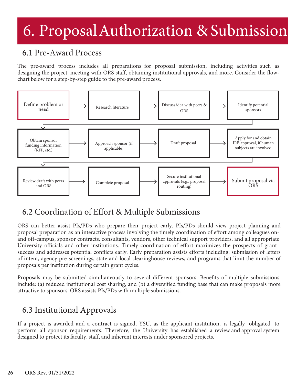# 6. ProposalAuthorization & Submission

# 6.1 Pre-Award Process

The pre-award process includes all preparations for proposal submission, including activities such as designing the project, meeting with ORS staff, obtaining institutional approvals, and more. Consider the flowchart below for a step-by-step guide to the pre-award process.



# 6.2 Coordination of Effort & Multiple Submissions

ORS can better assist PIs/PDs who prepare their project early. PIs/PDs should view project planning and proposal preparation as an interactive process involving the timely coordination of effort among colleagues onand off-campus, sponsor contracts, consultants, vendors, other technical support providers, and all appropriate University officials and other institutions. Timely coordination of effort maximizes the prospects of grant success and addresses potential conflicts early. Early preparation assists efforts including: submission of letters of intent, agency pre-screenings, state and local clearinghouse reviews, and programs that limit the number of proposals per institution during certain grant cycles.

Proposals may be submitted simultaneously to several different sponsors. Benefits of multiple submissions include: (a) reduced institutional cost sharing, and (b) a diversified funding base that can make proposals more attractive to sponsors. ORS assists PIs/PDs with multiple submissions.

# 6.3 Institutional Approvals

If a project is awarded and a contract is signed, YSU, as the applicant institution, is legally obligated to perform all sponsor requirements. Therefore, the University has established a review and approval system designed to protect its faculty, staff, and inherent interests under sponsored projects.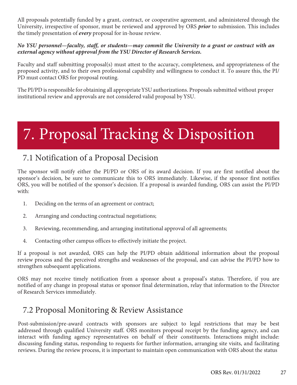All proposals potentially funded by a grant, contract, or cooperative agreement, and administered through the University, irrespective of sponsor, must be reviewed and approved by ORS *prior* to submission. This includes the timely presentation of *every* proposal for in-house review.

#### *No YSU personnel—faculty, staff, or students—may commit the University to a grant or contract with an external agency without approval from the YSU Director of Research Services.*

Faculty and staff submitting proposal(s) must attest to the accuracy, completeness, and appropriateness of the proposed activity, and to their own professional capability and willingness to conduct it. To assure this, the PI/ PD must contact ORS for proposal routing.

The PI/PD is responsible for obtaining all appropriate YSU authorizations. Proposals submitted without proper institutional review and approvals are not considered valid proposal by YSU.

# 7. Proposal Tracking & Disposition

# 7.1 Notification of a Proposal Decision

The sponsor will notify either the PI/PD or ORS of its award decision. If you are first notified about the sponsor's decision, be sure to communicate this to ORS immediately. Likewise, if the sponsor first notifies ORS, you will be notified of the sponsor's decision. If a proposal is awarded funding, ORS can assist the PI/PD with:

- 1. Deciding on the terms of an agreement or contract;
- 2. Arranging and conducting contractual negotiations;
- 3. Reviewing, recommending, and arranging institutional approval of all agreements;
- 4. Contacting other campus offices to effectively initiate the project.

If a proposal is not awarded, ORS can help the PI/PD obtain additional information about the proposal review process and the perceived strengths and weaknesses of the proposal, and can advise the PI/PD how to strengthen subsequent applications.

ORS may not receive timely notification from a sponsor about a proposal's status. Therefore, if you are notified of any change in proposal status or sponsor final determination, relay that information to the Director of Research Services immediately.

# 7.2 Proposal Monitoring & Review Assistance

Post-submission/pre-award contracts with sponsors are subject to legal restrictions that may be best addressed through qualified University staff. ORS monitors proposal receipt by the funding agency, and can interact with funding agency representatives on behalf of their constituents. Interactions might include: discussing funding status, responding to requests for further information, arranging site visits, and facilitating reviews. During the review process, it is important to maintain open communication with ORS about the status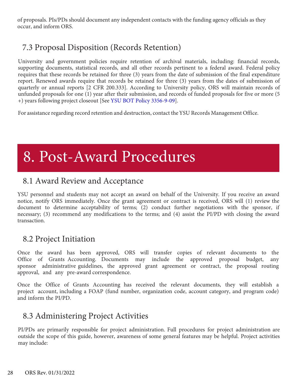of proposals. PIs/PDs should document any independent contacts with the funding agency officials as they occur, and inform ORS.

# 7.3 Proposal Disposition (Records Retention)

University and government policies require retention of archival materials, including: financial records, supporting documents, statistical records, and all other records pertinent to a federal award. Federal policy requires that these records be retained for three (3) years from the date of submission of the final expenditure report. Renewed awards require that records be retained for three (3) years from the dates of submission of quarterly or annual reports [2 CFR 200.333]. According to University policy, ORS will maintain records of unfunded proposals for one (1) year after their submission, and records of funded proposals for five or more (5 +) years following project closeout [See [YSU BOT Policy 3356-9-09\]](https://ysu.edu/human-resources/university-policies/policies-number/9-administration-and-personnel).

For assistance regarding record retention and destruction, contact the YSU Records Management Office.

# 8. Post-Award Procedures

# 8.1 Award Review and Acceptance

 document to determine acceptability of terms; (2) conduct further negotiations with the sponsor, if YSU personnel and students may not accept an award on behalf of the University. If you receive an award notice, notify ORS immediately. Once the grant agreement or contract is received, ORS will (1) review the necessary; (3) recommend any modifications to the terms; and (4) assist the PI/PD with closing the award transaction.

# 8.2 Project Initiation

 approval, and any pre-award correspondence. Once the award has been approved, ORS will transfer copies of relevant documents to the Office of Grants Accounting. Documents may include the approved proposal budget, any sponsor administrative guidelines, the approved grant agreement or contract, the proposal routing

Once the Office of Grants Accounting has received the relevant documents, they will establish a project account, including a FOAP (fund number, organization code, account category, and program code) and inform the PI/PD.

# 8.3 Administering Project Activities

PI/PDs are primarily responsible for project administration. Full procedures for project administration are outside the scope of this guide, however, awareness of some general features may be helpful. Project activities may include: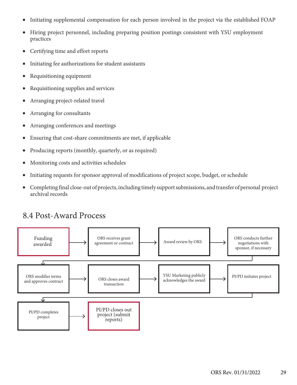- Initiating supplemental compensation for each person involved in the project via the established FOAP
- Hiring project personnel, including preparing position postings consistent with YSU employment practices
- Certifying time and effort reports
- Initiating fee authorizations for student assistants
- Requisitioning equipment
- Requisitioning supplies and services
- Arranging project-related travel
- Arranging for consultants
- Arranging conferences and meetings
- Ensuring that cost-share commitments are met, if applicable
- Producing reports (monthly, quarterly, or as required)
- Monitoring costs and activities schedules
- Initiating requests for sponsor approval of modifications of project scope, budget, or schedule
- Completing final close-out of projects, including timely support submissions, and transfer of personal project archival records

# 8.4 Post-Award Process

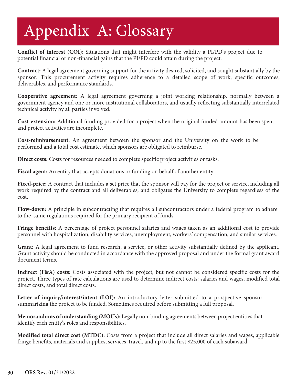# Appendix A: Glossary

**Conflict of interest (COI):** Situations that might interfere with the validity a PI/PD's project due to potential financial or non-financial gains that the PI/PD could attain during the project.

**Contract:** A legal agreement governing support for the activity desired, solicited, and sought substantially by the sponsor. This procurement activity requires adherence to a detailed scope of work, specific outcomes, deliverables, and performance standards.

**Cooperative agreement:** A legal agreement governing a joint working relationship, normally between a government agency and one or more institutional collaborators, and usually reflecting substantially interrelated technical activity by all parties involved.

**Cost-extension:** Additional funding provided for a project when the original funded amount has been spent and project activities are incomplete.

**Cost-reimbursement:** An agreement between the sponsor and the University on the work to be performed and a total cost estimate, which sponsors are obligated to reimburse.

**Direct costs:** Costs for resources needed to complete specific project activities or tasks.

**Fiscal agent:** An entity that accepts donations or funding on behalf of another entity.

**Fixed-price:** A contract that includes a set price that the sponsor will pay for the project or service, including all work required by the contract and all deliverables, and obligates the University to complete regardless of the cost.

**Flow-down:** A principle in subcontracting that requires all subcontractors under a federal program to adhere to the same regulations required for the primary recipient of funds.

**Fringe benefits:** A percentage of project personnel salaries and wages taken as an additional cost to provide personnel with hospitalization, disability services, unemployment, workers' compensation, and similar services.

**Grant:** A legal agreement to fund research, a service, or other activity substantially defined by the applicant. Grant activity should be conducted in accordance with the approved proposal and under the formal grant award document terms.

**Indirect (F&A) costs:** Costs associated with the project, but not cannot be considered specific costs for the project. Three types of rate calculations are used to determine indirect costs: salaries and wages, modified total direct costs, and total direct costs.

**Letter of inquiry/interest/intent (LOI):** An introductory letter submitted to a prospective sponsor summarizing the project to be funded. Sometimes required before submitting a full proposal.

**Memorandums of understanding (MOUs):** Legally non-binding agreements between project entities that identify each entity's roles and responsibilities.

**Modified total direct cost (MTDC):** Costs from a project that include all direct salaries and wages, applicable fringe benefits, materials and supplies, services, travel, and up to the first \$25,000 of each subaward.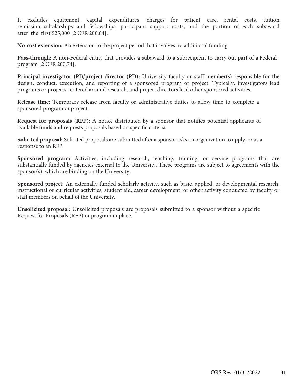It excludes equipment, capital expenditures, charges for patient care, rental costs, tuition remission, scholarships and fellowships, participant support costs, and the portion of each subaward after the first \$25,000 [2 CFR 200.64].

**No-cost extension:** An extension to the project period that involves no additional funding.

**Pass-through:** A non-Federal entity that provides a subaward to a subrecipient to carry out part of a Federal program [2 CFR 200.74].

**Principal investigator (PI)/project director (PD):** University faculty or staff member(s) responsible for the design, conduct, execution, and reporting of a sponsored program or project. Typically, investigators lead programs or projects centered around research, and project directors lead other sponsored activities.

**Release time:** Temporary release from faculty or administrative duties to allow time to complete a sponsored program or project.

**Request for proposals (RFP):** A notice distributed by a sponsor that notifies potential applicants of available funds and requests proposals based on specific criteria.

**Solicited proposal:** Solicited proposals are submitted after a sponsor asks an organization to apply, or as a response to an RFP.

**Sponsored program:** Activities, including research, teaching, training, or service programs that are substantially funded by agencies external to the University. These programs are subject to agreements with the sponsor(s), which are binding on the University.

**Sponsored project:** An externally funded scholarly activity, such as basic, applied, or developmental research, instructional or curricular activities, student aid, career development, or other activity conducted by faculty or staff members on behalf of the University.

**Unsolicited proposal:** Unsolicited proposals are proposals submitted to a sponsor without a specific Request for Proposals (RFP) or program in place.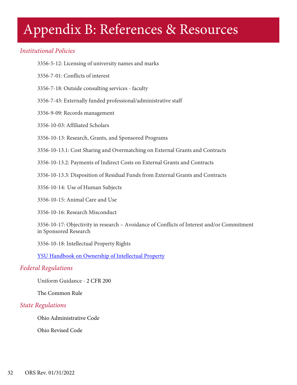# Appendix B: References & Resources

### *Institutional Policies*

- 3356-5-12: Licensing of university names and marks
- 3356-7-01: Conflicts of interest
- 3356-7-18: Outside consulting services faculty
- 3356-7-43: Externally funded professional/administrative staff
- 3356-9-09: Records management
- 3356-10-03: Affiliated Scholars
- 3356-10-13: Research, Grants, and Sponsored Programs
- 3356-10-13.1: Cost Sharing and Overmatching on External Grants and Contracts
- 3356-10-13.2: Payments of Indirect Costs on External Grants and Contracts
- 3356-10-13.3: Disposition of Residual Funds from External Grants and Contracts
- 3356-10-14: Use of Human Subjects
- 3356-10-15: Animal Care and Use
- 3356-10-16: Research Misconduct
- 3356-10-17: Objectivity in research Avoidance of Conflicts of Interest and/or Commitment in Sponsored Research
- 3356-10-18: Intellectual Property Rights

[YSU Handbook on Ownership of Intellectual Property](https://ysu.edu/sites/default/files/users/arriggleman/2020%20-%20IP%20Handbook.pdf)

#### *Federal Regulations*

Uniform Guidance - 2 CFR 200

The Common Rule

#### *State Regulations*

Ohio Administrative Code

Ohio Revised Code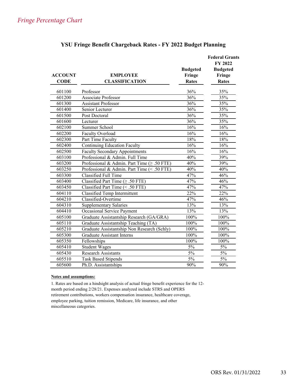| <b>ACCOUNT</b><br><b>CODE</b> | <b>EMPLOYEE</b><br><b>CLASSIFICATION</b>         | <b>Budgeted</b><br>Fringe<br>Rates | <b>Federal Grants</b><br><b>FY 2022</b><br><b>Budgeted</b><br>Fringe<br><b>Rates</b> |
|-------------------------------|--------------------------------------------------|------------------------------------|--------------------------------------------------------------------------------------|
| 601100                        | Professor                                        | 36%                                | 35%                                                                                  |
| 601200                        | <b>Associate Professor</b>                       | 36%                                | 35%                                                                                  |
| 601300                        | <b>Assistant Professor</b>                       | 36%                                | 35%                                                                                  |
| 601400                        | Senior Lecturer                                  | 36%                                | 35%                                                                                  |
| 601500                        | Post Doctoral                                    | 36%                                | 35%                                                                                  |
| 601600                        | Lecturer                                         | 36%                                | 35%                                                                                  |
| 602100                        | Summer School                                    | 16%                                | 16%                                                                                  |
| 602200                        | Faculty Overload                                 | 16%                                | 16%                                                                                  |
| 602300                        | Part Time Faculty                                | 18%                                | 18%                                                                                  |
| 602400                        | <b>Continuing Education Faculty</b>              | 16%                                | 16%                                                                                  |
| 602500                        | <b>Faculty Secondary Appointments</b>            | 16%                                | 16%                                                                                  |
| 603100                        | Professional & Admin. Full Time                  | 40%                                | 39%                                                                                  |
| 603200                        | Professional & Admin. Part Time $(\geq .50$ FTE) | 40%                                | 39%                                                                                  |
| 603250                        | Professional & Admin. Part Time (< .50 FTE)      | 40%                                | 40%                                                                                  |
| 603300                        | <b>Classified Full Time</b>                      | 47%                                | 46%                                                                                  |
| 603400                        | Classified Part Time $(\geq .50$ FTE)            | 47%                                | 46%                                                                                  |
| 603450                        | Classified Part Time (< .50 FTE)                 | 47%                                | 47%                                                                                  |
| 604110                        | <b>Classified Temp Intermittent</b>              | 22%                                | 22%                                                                                  |
| 604210                        | Classified-Overtime                              | 47%                                | 46%                                                                                  |
| 604310                        | <b>Supplementary Salaries</b>                    | 13%                                | 13%                                                                                  |
| 604410                        | Occasional Service Payment                       | 13%                                | 13%                                                                                  |
| 605100                        | Graduate Assistantship Research (GA/GRA)         | 100%                               | 100%                                                                                 |
| 605110                        | Graduate Assistantship Teaching (TA)             | 100%                               | 100%                                                                                 |
| 605210                        | Graduate Assistantship Non Research (Schly)      | 100%                               | 100%                                                                                 |
| 605300                        | <b>Graduate Assistant Interns</b>                | 100%                               | 100%                                                                                 |
| 605350                        | Fellowships                                      | 100%                               | 100%                                                                                 |
| 605410                        | <b>Student Wages</b>                             | 5%                                 | 5%                                                                                   |
| 605430                        | <b>Research Assistants</b>                       | 5%                                 | $\frac{5\%}{ }$                                                                      |
| 605510                        | <b>Task Based Stipends</b>                       | $\frac{5\%}{ }$                    | 5%                                                                                   |
| 605600                        | Ph.D. Assistantships                             | 90%                                | 90%                                                                                  |

#### **YSU Fringe Benefit Chargeback Rates - FY 2022 Budget Planning**

#### **Notes and assumptions:**

1. Rates are based on a hindsight analysis of actual fringe benefit experience for the 12 month period ending 2/28/21. Expenses analyzed include STRS and OPERS retirement contributions, workers compensation insurance, healthcare coverage, employee parking, tuition remission, Medicare, life insurance, and other miscellaneous categories.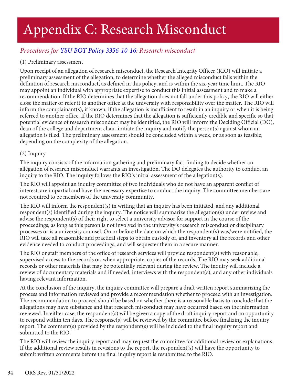# <span id="page-33-0"></span>Appendix C: Research Misconduct

## *Procedures for [YSU BOT Policy 3356-10-16:](https://ysu.edu/human-resources/university-policies/policies-number/10-academic-affairs) Research misconduct*

## (1) Preliminary assessment

Upon receipt of an allegation of research misconduct, the Research Integrity Officer (RIO) will initiate a preliminary assessment of the allegation, to determine whether the alleged misconduct falls within the definition of research misconduct, as defined in this policy, and is within the six-year time limit. The RIO may appoint an individual with appropriate expertise to conduct this initial assessment and to make a recommendation. If the RIO determines that the allegation does not fall under this policy, the RIO will either close the matter or refer it to another office at the university with responsibility over the matter. The RIO will inform the complainant(s), if known, if the allegation is insufficient to result in an inquiry or when it is being referred to another office. If the RIO determines that the allegation is sufficiently credible and specific so that potential evidence of research misconduct may be identified, the RIO will inform the Deciding Official (DO), dean of the college and department chair, initiate the inquiry and notify the person(s) against whom an allegation is filed. The preliminary assessment should be concluded within a week, or as soon as feasible, depending on the complexity of the allegation.

## (2) Inquiry

The inquiry consists of the information gathering and preliminary fact-finding to decide whether an allegation of research misconduct warrants an investigation. The DO delegates the authority to conduct an inquiry to the RIO. The inquiry follows the RIO's initial assessment of the allegation(s).

The RIO will appoint an inquiry committee of two individuals who do not have an apparent conflict of interest, are impartial and have the necessary expertise to conduct the inquiry. The committee members are not required to be members of the university community.

The RIO will inform the respondent(s) in writing that an inquiry has been initiated, and any additional respondent(s) identified during the inquiry. The notice will summarize the allegation(s) under review and advise the respondent(s) of their right to select a university advisor for support in the course of the proceedings, as long as this person is not involved in the university's research misconduct or disciplinary processes or is a university counsel. On or before the date on which the respondent(s) was/were notified, the RIO will take all reasonable and practical steps to obtain custody of, and inventory all the records and other evidence needed to conduct proceedings, and will sequester them in a secure manner.

The RIO or staff members of the office of research services will provide respondent(s) with reasonable, supervised access to the records or, when appropriate, copies of the records. The RIO may seek additional records or other materials that may be potentially relevant during the review. The inquiry will include a review of documentary materials and if needed, interviews with the respondent(s), and any other individuals having relevant information.

At the conclusion of the inquiry, the inquiry committee will prepare a draft written report summarizing the process and information reviewed and provide a recommendation whether to proceed with an investigation. The recommendation to proceed should be based on whether there is a reasonable basis to conclude that the allegations may have substance and that research misconduct may have occurred based on the information reviewed. In either case, the respondent(s) will be given a copy of the draft inquiry report and an opportunity to respond within ten days. The response(s) will be reviewed by the committee before finalizing the inquiry report. The comment(s) provided by the respondent(s) will be included to the final inquiry report and submitted to the RIO.

The RIO will review the inquiry report and may request the committee for additional review or explanations. If the additional review results in revisions to the report, the respondent(s) will have the opportunity to submit written comments before the final inquiry report is resubmitted to the RIO.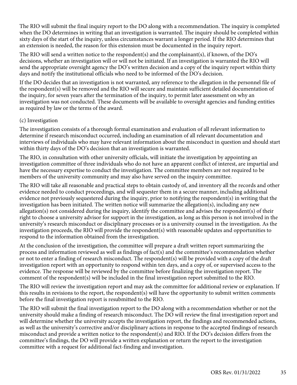The RIO will submit the final inquiry report to the DO along with a recommendation. The inquiry is completed when the DO determines in writing that an investigation is warranted. The inquiry should be completed within sixty days of the start of the inquiry, unless circumstances warrant a longer period. If the RIO determines that an extension is needed, the reason for this extension must be documented in the inquiry report.

The RIO will send a written notice to the respondent(s) and the complainant(s), if known, of the  $DO's$ decisions, whether an investigation will or will not be initiated. If an investigation is warranted the RIO will send the appropriate oversight agency the DO's written decision and a copy of the inquiry report within thirty days and notify the institutional officials who need to be informed of the DO's decision.

If the DO decides that an investigation is not warranted, any reference to the allegation in the personnel file of the respondent(s) will be removed and the RIO will secure and maintain sufficient detailed documentation of the inquiry, for seven years after the termination of the inquiry, to permit later assessment on why an investigation was not conducted. These documents will be available to oversight agencies and funding entities as required by law or the terms of the award.

#### (c) Investigation

The investigation consists of a thorough formal examination and evaluation of all relevant information to determine if research misconduct occurred, including an examination of all relevant documentation and interviews of individuals who may have relevant information about the misconduct in question and should start within thirty days of the DO's decision that an investigation is warranted.

The RIO, in consultation with other university officials, will initiate the investigation by appointing an investigation committee of three individuals who do not have an apparent conflict of interest, are impartial and have the necessary expertise to conduct the investigation. The committee members are not required to be members of the university community and may also have served on the inquiry committee.

The RIO will take all reasonable and practical steps to obtain custody of, and inventory all the records and other evidence needed to conduct proceedings, and will sequester them in a secure manner, including additional evidence not previously sequestered during the inquiry, prior to notifying the respondent(s) in writing that the investigation has been initiated. The written notice will summarize the allegation(s), including any new allegation(s) not considered during the inquiry, identify the committee and advises the respondent(s) of their right to choose a university advisor for support in the investigation, as long as this person is not involved in the university's research misconduct or disciplinary processes or is a university counsel in the investigation. As the investigation proceeds, the RIO will provide the respondent(s) with reasonable updates and opportunities to respond to the information obtained from the investigation.

At the conclusion of the investigation, the committee will prepare a draft written report summarizing the process and information reviewed as well as findings of fact(s) and the committee's recommendation whether or not to enter a finding of research misconduct. The respondent(s) will be provided with a copy of the draft investigation report with an opportunity to respond within ten days, and a copy of, or supervised access to the evidence. The response will be reviewed by the committee before finalizing the investigation report. The comment of the respondent(s) will be included in the final investigation report submitted to the RIO.

The RIO will review the investigation report and may ask the committee for additional review or explanation. If this results in revisions to the report, the respondent(s) will have the opportunity to submit written comments before the final investigation report is resubmitted to the RIO.

The RIO will submit the final investigation report to the DO along with a recommendation whether or not the university should make a finding of research misconduct. The DO will review the final investigation report and will determine whether the university accepts the investigation report, the findings and recommended actions, as well as the university's corrective and/or disciplinary actions in response to the accepted findings of research misconduct and provide a written notice to the respondent(s) and RIO. If the DO's decision differs from the committee's findings, the DO will provide a written explanation or return the report to the investigation committee with a request for additional fact-finding and investigation.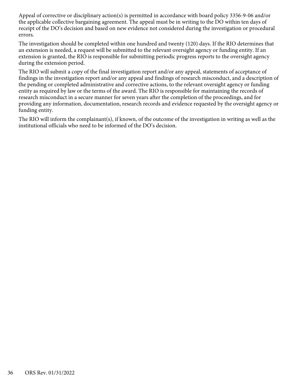Appeal of corrective or disciplinary action(s) is permitted in accordance with board policy 3356-9-06 and/or the applicable collective bargaining agreement. The appeal must be in writing to the DO within ten days of receipt of the DO's decision and based on new evidence not considered during the investigation or procedural errors.

The investigation should be completed within one hundred and twenty (120) days. If the RIO determines that an extension is needed, a request will be submitted to the relevant oversight agency or funding entity. If an extension is granted, the RIO is responsible for submitting periodic progress reports to the oversight agency during the extension period.

The RIO will submit a copy of the final investigation report and/or any appeal, statements of acceptance of findings in the investigation report and/or any appeal and findings of research misconduct, and a description of the pending or completed administrative and corrective actions, to the relevant oversight agency or funding entity as required by law or the terms of the award. The RIO is responsible for maintaining the records of research misconduct in a secure manner for seven years after the completion of the proceedings, and for providing any information, documentation, research records and evidence requested by the oversight agency or funding entity.

The RIO will inform the complainant(s), if known, of the outcome of the investigation in writing as well as the institutional officials who need to be informed of the DO's decision.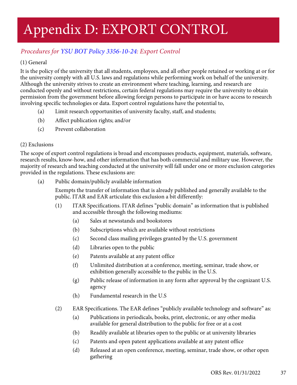# <span id="page-36-0"></span>Appendix D: EXPORT CONTROL

# *Procedures for [YSU BOT Policy 3356-10-24:](https://ysu.edu/human-resources/university-policies/policies-number/10-academic-affairs) Export Control*

## (1) General

It is the policy of the university that all students, employees, and all other people retained or working at or for the university comply with all U.S. laws and regulations while performing work on behalf of the university. Although the university strives to create an environment where teaching, learning, and research are conducted openly and without restrictions, certain federal regulations may require the university to obtain permission from the government before allowing foreign persons to participate in or have access to research involving specific technologies or data. Export control regulations have the potential to,

- (a) Limit research opportunities of university faculty, staff, and students;
- (b) Affect publication rights; and/or
- (c) Prevent collaboration

#### (2) Exclusions

The scope of export control regulations is broad and encompasses products, equipment, materials, software, research results, know-how, and other information that has both commercial and military use. However, the majority of research and teaching conducted at the university will fall under one or more exclusion categories provided in the regulations. These exclusions are:

(a) Public domain/publicly available information

Exempts the transfer of information that is already published and generally available to the public. ITAR and EAR articulate this exclusion a bit differently:

- (1) ITAR Specifications. ITAR defines "public domain" as information that is published and accessible through the following mediums:
	- (a) Sales at newsstands and bookstores
	- (b) Subscriptions which are available without restrictions
	- (c) Second class mailing privileges granted by the U.S. government
	- (d) Libraries open to the public
	- (e) Patents available at any patent office
	- (f) Unlimited distribution at a conference, meeting, seminar, trade show, or exhibition generally accessible to the public in the U.S.
	- (g) Public release of information in any form after approval by the cognizant U.S. agency
	- (h) Fundamental research in the U.S
- (2) EAR Specifications. The EAR defines "publicly available technology and software" as:
	- (a) Publications in periodicals, books, print, electronic, or any other media available for general distribution to the public for free or at a cost
	- (b) Readily available at libraries open to the public or at university libraries
	- (c) Patents and open patent applications available at any patent office
	- (d) Released at an open conference, meeting, seminar, trade show, or other open gathering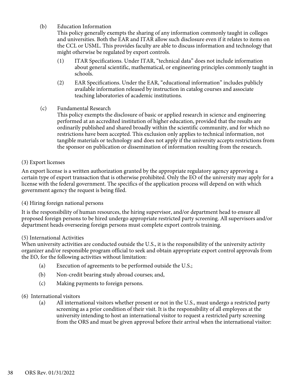(b) Education Information

This policy generally exempts the sharing of any information commonly taught in colleges and universities. Both the EAR and ITAR allow such disclosure even if it relates to items on the CCL or USML. This provides faculty are able to discuss information and technology that might otherwise be regulated by export controls.

- (1) ITAR Specifications. Under ITAR, "technical data" does not include information about general scientific, mathematical, or engineering principles commonly taught in schools.
- (2) EAR Specifications. Under the EAR, "educational information" includes publicly available information released by instruction in catalog courses and associate teaching laboratories of academic institutions.
- (c) Fundamental Research

This policy exempts the disclosure of basic or applied research in science and engineering performed at an accredited institution of higher education, provided that the results are ordinarily published and shared broadly within the scientific community, and for which no restrictions have been accepted. This exclusion only applies to technical information, not tangible materials or technology and does not apply if the university accepts restrictions from the sponsor on publication or dissemination of information resulting from the research.

#### (3) Export licenses

An export license is a written authorization granted by the appropriate regulatory agency approving a certain type of export transaction that is otherwise prohibited. Only the EO of the university may apply for a license with the federal government. The specifics of the application process will depend on with which government agency the request is being filed.

#### (4) Hiring foreign national persons

It is the responsibility of human resources, the hiring supervisor, and/or department head to ensure all proposed foreign persons to be hired undergo appropriate restricted party screening. All supervisors and/or department heads overseeing foreign persons must complete export controls training.

#### (5) International Activities

When university activities are conducted outside the U.S., it is the responsibility of the university activity organizer and/or responsible program official to seek and obtain appropriate export control approvals from the EO, for the following activities without limitation:

- (a) Execution of agreements to be performed outside the U.S.;
- (b) Non-credit bearing study abroad courses; and,
- (c) Making payments to foreign persons.

#### (6) International visitors

(a) All international visitors whether present or not in the U.S., must undergo a restricted party screening as a prior condition of their visit. It is the responsibility of all employees at the university intending to host an international visitor to request a restricted party screening from the ORS and must be given approval before their arrival when the international visitor: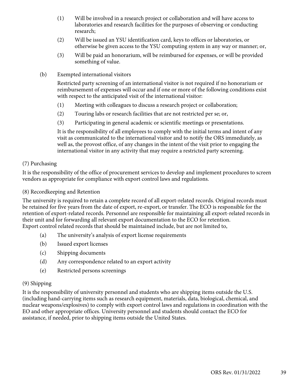- (1) Will be involved in a research project or collaboration and will have access to laboratories and research facilities for the purposes of observing or conducting research;
- (2) Will be issued an YSU identification card, keys to offices or laboratories, or otherwise be given access to the YSU computing system in any way or manner; or,
- (3) Will be paid an honorarium, will be reimbursed for expenses, or will be provided something of value.
- (b) Exempted international visitors

Restricted party screening of an international visitor is not required if no honorarium or reimbursement of expenses will occur and if one or more of the following conditions exist with respect to the anticipated visit of the international visitor:

- (1) Meeting with colleagues to discuss a research project or collaboration;
- (2) Touring labs or research facilities that are not restricted per se; or,
- (3) Participating in general academic or scientific meetings or presentations.

It is the responsibility of all employees to comply with the initial terms and intent of any visit as communicated to the international visitor and to notify the ORS immediately, as well as, the provost office, of any changes in the intent of the visit prior to engaging the international visitor in any activity that may require a restricted party screening.

#### (7) Purchasing

It is the responsibility of the office of procurement services to develop and implement procedures to screen vendors as appropriate for compliance with export control laws and regulations.

#### (8) Recordkeeping and Retention

The university is required to retain a complete record of all export-related records. Original records must be retained for five years from the date of export, re-export, or transfer. The ECO is responsible for the retention of export-related records. Personnel are responsible for maintaining all export-related records in their unit and for forwarding all relevant export documentation to the ECO for retention. Export control related records that should be maintained include, but are not limited to,

- (a) The university's analysis of export license requirements
- (b) Issued export licenses
- (c) Shipping documents
- (d) Any correspondence related to an export activity
- (e) Restricted persons screenings

#### (9) Shipping

It is the responsibility of university personnel and students who are shipping items outside the U.S. (including hand-carrying items such as research equipment, materials, data, biological, chemical, and nuclear weapons/explosives) to comply with export control laws and regulations in coordination with the EO and other appropriate offices. University personnel and students should contact the ECO for assistance, if needed, prior to shipping items outside the United States.